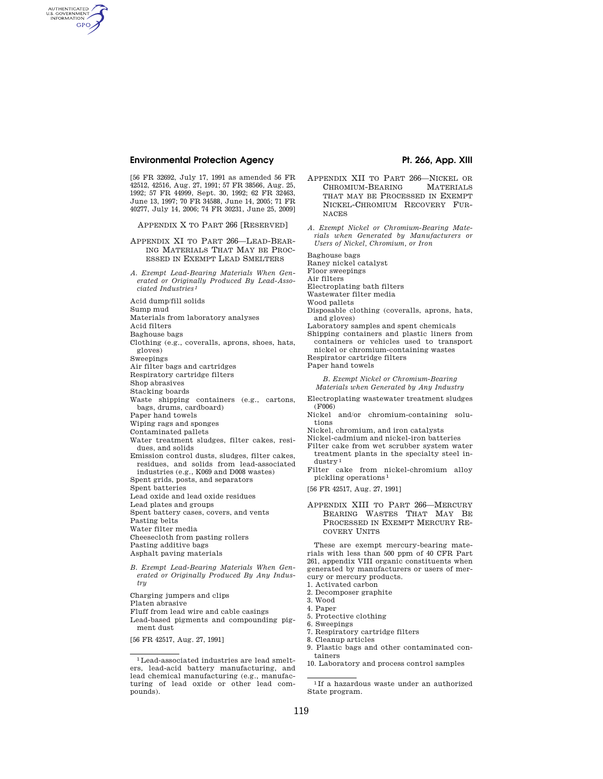# **Environmental Protection Agency**  Pt. 266, App. XIII

[56 FR 32692, July 17, 1991 as amended 56 FR 42512, 42516, Aug. 27, 1991; 57 FR 38566, Aug. 25, 1992; 57 FR 44999, Sept. 30, 1992; 62 FR 32463, June 13, 1997; 70 FR 34588, June 14, 2005; 71 FR 40277, July 14, 2006; 74 FR 30231, June 25, 2009]

APPENDIX X TO PART 266 [RESERVED]

- APPENDIX XI TO PART 266—LEAD-BEAR-ING MATERIALS THAT MAY BE PROC-ESSED IN EXEMPT LEAD SMELTERS
- *A. Exempt Lead-Bearing Materials When Generated or Originally Produced By Lead-Associated Industries 1*

Acid dump/fill solids

Sump mud

- Materials from laboratory analyses
- Acid filters

Baghouse bags

Clothing (e.g., coveralls, aprons, shoes, hats, gloves)

Sweepings

AUTHENTICATED<br>U.S. GOVERNMENT<br>INFORMATION **GPO** 

- Air filter bags and cartridges
- Respiratory cartridge filters
- Shop abrasives

Stacking boards

- Waste shipping containers (e.g., cartons, bags, drums, cardboard)
- Paper hand towels
- Wiping rags and sponges
- Contaminated pallets
- Water treatment sludges, filter cakes, residues, and solids
- Emission control dusts, sludges, filter cakes, residues, and solids from lead-associated industries (e.g., K069 and D008 wastes)
- Spent grids, posts, and separators
- Spent batteries
- Lead oxide and lead oxide residues
- Lead plates and groups
- Spent battery cases, covers, and vents
- Pasting belts
- Water filter media
- Cheesecloth from pasting rollers
- Pasting additive bags
- Asphalt paving materials
- *B. Exempt Lead-Bearing Materials When Generated or Originally Produced By Any Industry*
- Charging jumpers and clips
- Platen abrasive
- Fluff from lead wire and cable casings
- Lead-based pigments and compounding pigment dust

[56 FR 42517, Aug. 27, 1991]

- APPENDIX XII TO PART 266—NICKEL OR CHROMIUM-BEARING MATERIALS THAT MAY BE PROCESSED IN EXEMPT NICKEL-CHROMIUM RECOVERY FUR-NACES
- *A. Exempt Nickel or Chromium-Bearing Materials when Generated by Manufacturers or Users of Nickel, Chromium, or Iron*

Baghouse bags

- Raney nickel catalyst
- Floor sweepings
- Air filters
- Electroplating bath filters
- Wastewater filter media
- Wood pallets
- Disposable clothing (coveralls, aprons, hats, and gloves)
- Laboratory samples and spent chemicals
- Shipping containers and plastic liners from

containers or vehicles used to transport nickel or chromium-containing wastes Respirator cartridge filters

Paper hand towels

### *B. Exempt Nickel or Chromium-Bearing Materials when Generated by Any Industry*

Electroplating wastewater treatment sludges (F006)

- Nickel and/or chromium-containing solutions
- Nickel, chromium, and iron catalysts
- Nickel-cadmium and nickel-iron batteries
- Filter cake from wet scrubber system water treatment plants in the specialty steel industry<sup>1</sup>
- Filter cake from nickel-chromium alloy pickling operations 1
- [56 FR 42517, Aug. 27, 1991]
- APPENDIX XIII TO PART 266—MERCURY BEARING WASTES THAT MAY BE PROCESSED IN EXEMPT MERCURY RE-COVERY UNITS

These are exempt mercury-bearing materials with less than 500 ppm of 40 CFR Part 261, appendix VIII organic constituents when generated by manufacturers or users of mercury or mercury products.

- 1. Activated carbon
- 2. Decomposer graphite
- 3. Wood
- 4. Paper
- 5. Protective clothing
- 6. Sweepings
- 7. Respiratory cartridge filters
- 8. Cleanup articles 9. Plastic bags and other contaminated containers
- 10. Laboratory and process control samples

 $^{\rm 1}$  Lead-associated industries are lead smelters, lead-acid battery manufacturing, and lead chemical manufacturing (e.g., manufacturing of lead oxide or other lead compounds).

 $^{\rm 11}$  If a hazardous waste under an authorized State program.